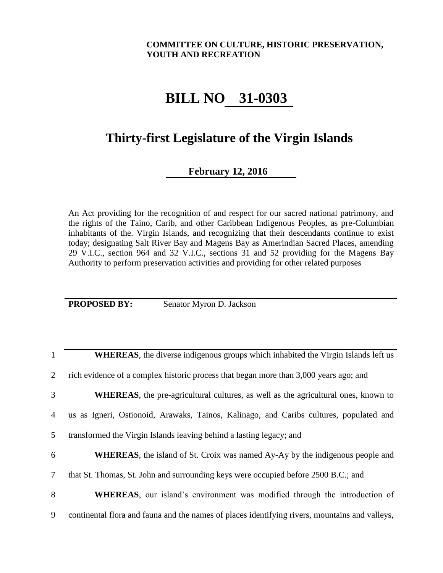## **COMMITTEE ON CULTURE, HISTORIC PRESERVATION, YOUTH AND RECREATION**

## **BILL NO. 31-0303**

## **Thirty-first Legislature of the Virgin Islands**

## **February 12, 2016**

An Act providing for the recognition of and respect for our sacred national patrimony, and the rights of the Taino, Carib, and other Caribbean Indigenous Peoples, as pre-Columbian inhabitants of the. Virgin Islands, and recognizing that their descendants continue to exist today; designating Salt River Bay and Magens Bay as Amerindian Sacred Places, amending 29 V.I.C., section 964 and 32 V.I.C., sections 31 and 52 providing for the Magens Bay Authority to perform preservation activities and providing for other related purposes

**PROPOSED BY:** Senator Myron D. Jackson

| $\mathbf{1}$   | <b>WHEREAS</b> , the diverse indigenous groups which inhabited the Virgin Islands left us      |
|----------------|------------------------------------------------------------------------------------------------|
| $\overline{2}$ | rich evidence of a complex historic process that began more than 3,000 years ago; and          |
| 3              | WHEREAS, the pre-agricultural cultures, as well as the agricultural ones, known to             |
| $\overline{4}$ | us as Igneri, Ostionoid, Arawaks, Tainos, Kalinago, and Caribs cultures, populated and         |
| 5 <sup>5</sup> | transformed the Virgin Islands leaving behind a lasting legacy; and                            |
| 6              | <b>WHEREAS</b> , the island of St. Croix was named Ay-Ay by the indigenous people and          |
| $\tau$         | that St. Thomas, St. John and surrounding keys were occupied before 2500 B.C.; and             |
| 8              | <b>WHEREAS</b> , our island's environment was modified through the introduction of             |
| 9              | continental flora and fauna and the names of places identifying rivers, mountains and valleys, |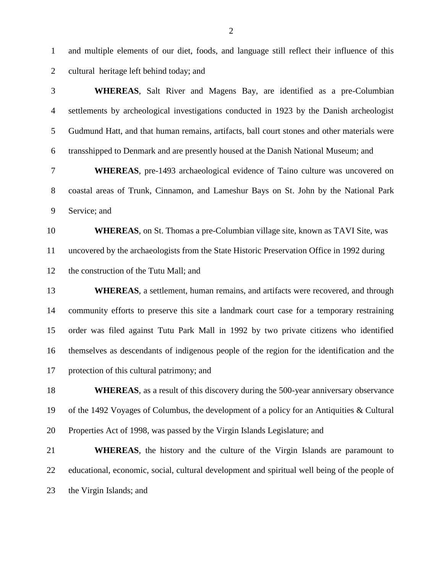and multiple elements of our diet, foods, and language still reflect their influence of this cultural heritage left behind today; and

| 3              | <b>WHEREAS</b> , Salt River and Magens Bay, are identified as a pre-Columbian                 |
|----------------|-----------------------------------------------------------------------------------------------|
| $\overline{4}$ | settlements by archeological investigations conducted in 1923 by the Danish archeologist      |
| 5              | Gudmund Hatt, and that human remains, artifacts, ball court stones and other materials were   |
| 6              | transshipped to Denmark and are presently housed at the Danish National Museum; and           |
| 7              | <b>WHEREAS</b> , pre-1493 archaeological evidence of Taino culture was uncovered on           |
| $8\,$          | coastal areas of Trunk, Cinnamon, and Lameshur Bays on St. John by the National Park          |
| 9              | Service; and                                                                                  |
| 10             | <b>WHEREAS,</b> on St. Thomas a pre-Columbian village site, known as TAVI Site, was           |
| 11             | uncovered by the archaeologists from the State Historic Preservation Office in 1992 during    |
| 12             | the construction of the Tutu Mall; and                                                        |
| 13             | <b>WHEREAS</b> , a settlement, human remains, and artifacts were recovered, and through       |
| 14             | community efforts to preserve this site a landmark court case for a temporary restraining     |
| 15             | order was filed against Tutu Park Mall in 1992 by two private citizens who identified         |
| 16             | themselves as descendants of indigenous people of the region for the identification and the   |
| 17             | protection of this cultural patrimony; and                                                    |
| 18             | <b>WHEREAS</b> , as a result of this discovery during the 500-year anniversary observance     |
| 19             | of the 1492 Voyages of Columbus, the development of a policy for an Antiquities & Cultural    |
| 20             | Properties Act of 1998, was passed by the Virgin Islands Legislature; and                     |
| 21             | <b>WHEREAS</b> , the history and the culture of the Virgin Islands are paramount to           |
| 22             | educational, economic, social, cultural development and spiritual well being of the people of |
| 23             | the Virgin Islands; and                                                                       |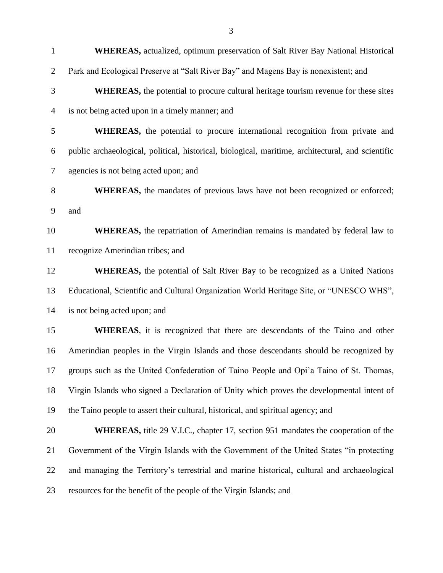| $\mathbf{1}$   | <b>WHEREAS</b> , actualized, optimum preservation of Salt River Bay National Historical           |
|----------------|---------------------------------------------------------------------------------------------------|
| $\overline{2}$ | Park and Ecological Preserve at "Salt River Bay" and Magens Bay is nonexistent; and               |
| 3              | <b>WHEREAS</b> , the potential to procure cultural heritage tourism revenue for these sites       |
| $\overline{4}$ | is not being acted upon in a timely manner; and                                                   |
| 5              | <b>WHEREAS</b> , the potential to procure international recognition from private and              |
| 6              | public archaeological, political, historical, biological, maritime, architectural, and scientific |
| 7              | agencies is not being acted upon; and                                                             |
| 8              | <b>WHEREAS</b> , the mandates of previous laws have not been recognized or enforced;              |
| 9              | and                                                                                               |
| 10             | <b>WHEREAS</b> , the repatriation of Amerindian remains is mandated by federal law to             |
| 11             | recognize Amerindian tribes; and                                                                  |
| 12             | WHEREAS, the potential of Salt River Bay to be recognized as a United Nations                     |
| 13             | Educational, Scientific and Cultural Organization World Heritage Site, or "UNESCO WHS",           |
| 14             | is not being acted upon; and                                                                      |
| 15             | WHEREAS, it is recognized that there are descendants of the Taino and other                       |
| 16             | Amerindian peoples in the Virgin Islands and those descendants should be recognized by            |
| 17             | groups such as the United Confederation of Taino People and Opi'a Taino of St. Thomas,            |
| 18             | Virgin Islands who signed a Declaration of Unity which proves the developmental intent of         |
| 19             | the Taino people to assert their cultural, historical, and spiritual agency; and                  |
| 20             | <b>WHEREAS</b> , title 29 V.I.C., chapter 17, section 951 mandates the cooperation of the         |
| 21             | Government of the Virgin Islands with the Government of the United States "in protecting          |
| 22             | and managing the Territory's terrestrial and marine historical, cultural and archaeological       |
| 23             | resources for the benefit of the people of the Virgin Islands; and                                |
|                |                                                                                                   |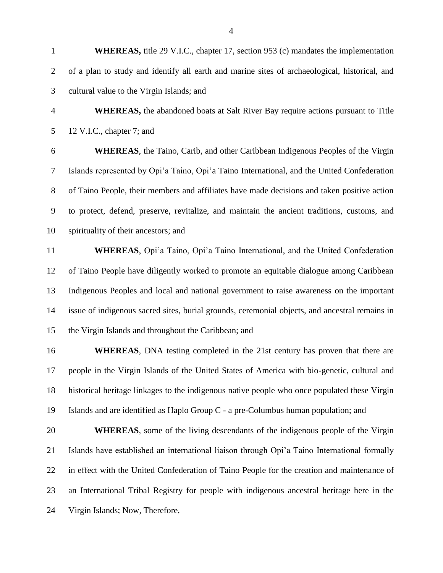**WHEREAS,** the abandoned boats at Salt River Bay require actions pursuant to Title 12 V.I.C., chapter 7; and

 **WHEREAS**, the Taino, Carib, and other Caribbean Indigenous Peoples of the Virgin Islands represented by Opi'a Taino, Opi'a Taino International, and the United Confederation of Taino People, their members and affiliates have made decisions and taken positive action to protect, defend, preserve, revitalize, and maintain the ancient traditions, customs, and spirituality of their ancestors; and

 **WHEREAS**, Opi'a Taino, Opi'a Taino International, and the United Confederation of Taino People have diligently worked to promote an equitable dialogue among Caribbean Indigenous Peoples and local and national government to raise awareness on the important issue of indigenous sacred sites, burial grounds, ceremonial objects, and ancestral remains in the Virgin Islands and throughout the Caribbean; and

 **WHEREAS**, DNA testing completed in the 21st century has proven that there are people in the Virgin Islands of the United States of America with bio-genetic, cultural and historical heritage linkages to the indigenous native people who once populated these Virgin Islands and are identified as Haplo Group C - a pre-Columbus human population; and

 **WHEREAS**, some of the living descendants of the indigenous people of the Virgin Islands have established an international liaison through Opi'a Taino International formally in effect with the United Confederation of Taino People for the creation and maintenance of an International Tribal Registry for people with indigenous ancestral heritage here in the Virgin Islands; Now, Therefore,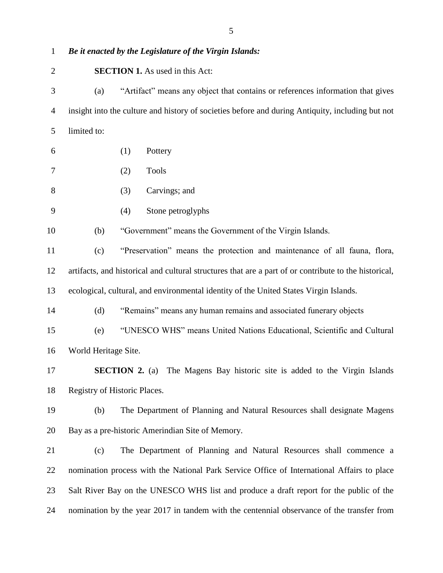| $\mathbf{1}$   |                      | Be it enacted by the Legislature of the Virgin Islands:                                               |
|----------------|----------------------|-------------------------------------------------------------------------------------------------------|
| $\overline{2}$ |                      | <b>SECTION 1.</b> As used in this Act:                                                                |
| 3              | (a)                  | "Artifact" means any object that contains or references information that gives                        |
| $\overline{4}$ |                      | insight into the culture and history of societies before and during Antiquity, including but not      |
| 5              | limited to:          |                                                                                                       |
| 6              |                      | (1)<br>Pottery                                                                                        |
| 7              |                      | <b>Tools</b><br>(2)                                                                                   |
| 8              |                      | Carvings; and<br>(3)                                                                                  |
| 9              |                      | Stone petroglyphs<br>(4)                                                                              |
| 10             | (b)                  | "Government" means the Government of the Virgin Islands.                                              |
| 11             | (c)                  | "Preservation" means the protection and maintenance of all fauna, flora,                              |
| 12             |                      | artifacts, and historical and cultural structures that are a part of or contribute to the historical, |
| 13             |                      | ecological, cultural, and environmental identity of the United States Virgin Islands.                 |
| 14             | (d)                  | "Remains" means any human remains and associated funerary objects                                     |
| 15             | (e)                  | "UNESCO WHS" means United Nations Educational, Scientific and Cultural                                |
| 16             | World Heritage Site. |                                                                                                       |
| 17             |                      | <b>SECTION 2.</b> (a) The Magens Bay historic site is added to the Virgin Islands                     |
| 18             |                      | Registry of Historic Places.                                                                          |
| 19             | (b)                  | The Department of Planning and Natural Resources shall designate Magens                               |
| 20             |                      | Bay as a pre-historic Amerindian Site of Memory.                                                      |
| 21             | (c)                  | The Department of Planning and Natural Resources shall commence a                                     |
| 22             |                      | nomination process with the National Park Service Office of International Affairs to place            |
| 23             |                      | Salt River Bay on the UNESCO WHS list and produce a draft report for the public of the                |
| 24             |                      | nomination by the year 2017 in tandem with the centennial observance of the transfer from             |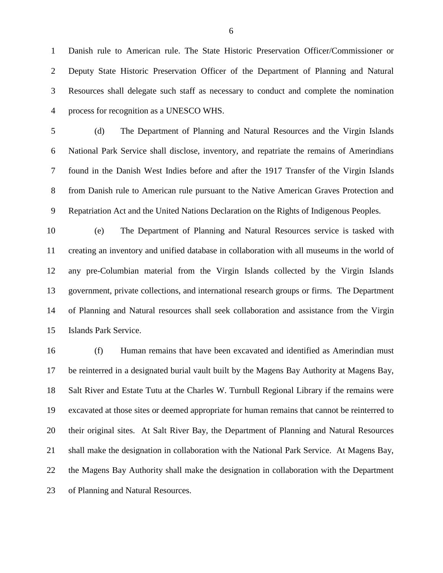Danish rule to American rule. The State Historic Preservation Officer/Commissioner or Deputy State Historic Preservation Officer of the Department of Planning and Natural Resources shall delegate such staff as necessary to conduct and complete the nomination process for recognition as a UNESCO WHS.

 (d) The Department of Planning and Natural Resources and the Virgin Islands National Park Service shall disclose, inventory, and repatriate the remains of Amerindians found in the Danish West Indies before and after the 1917 Transfer of the Virgin Islands from Danish rule to American rule pursuant to the Native American Graves Protection and Repatriation Act and the United Nations Declaration on the Rights of Indigenous Peoples.

 (e) The Department of Planning and Natural Resources service is tasked with creating an inventory and unified database in collaboration with all museums in the world of any pre-Columbian material from the Virgin Islands collected by the Virgin Islands government, private collections, and international research groups or firms. The Department of Planning and Natural resources shall seek collaboration and assistance from the Virgin Islands Park Service.

 (f) Human remains that have been excavated and identified as Amerindian must be reinterred in a designated burial vault built by the Magens Bay Authority at Magens Bay, Salt River and Estate Tutu at the Charles W. Turnbull Regional Library if the remains were excavated at those sites or deemed appropriate for human remains that cannot be reinterred to their original sites. At Salt River Bay, the Department of Planning and Natural Resources shall make the designation in collaboration with the National Park Service. At Magens Bay, the Magens Bay Authority shall make the designation in collaboration with the Department of Planning and Natural Resources.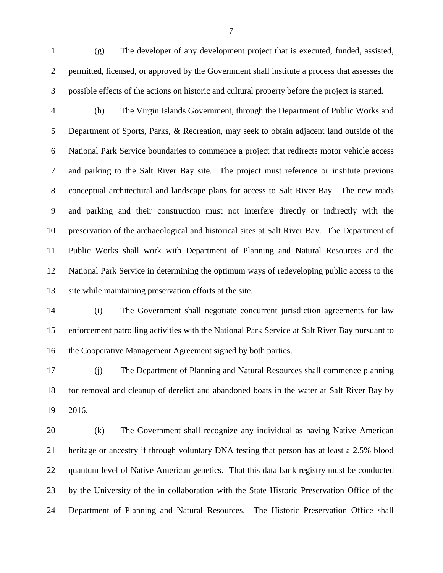(g) The developer of any development project that is executed, funded, assisted, permitted, licensed, or approved by the Government shall institute a process that assesses the possible effects of the actions on historic and cultural property before the project is started.

 (h) The Virgin Islands Government, through the Department of Public Works and Department of Sports, Parks, & Recreation, may seek to obtain adjacent land outside of the National Park Service boundaries to commence a project that redirects motor vehicle access and parking to the Salt River Bay site. The project must reference or institute previous conceptual architectural and landscape plans for access to Salt River Bay. The new roads and parking and their construction must not interfere directly or indirectly with the preservation of the archaeological and historical sites at Salt River Bay. The Department of Public Works shall work with Department of Planning and Natural Resources and the National Park Service in determining the optimum ways of redeveloping public access to the site while maintaining preservation efforts at the site.

 (i) The Government shall negotiate concurrent jurisdiction agreements for law enforcement patrolling activities with the National Park Service at Salt River Bay pursuant to the Cooperative Management Agreement signed by both parties.

 (j) The Department of Planning and Natural Resources shall commence planning for removal and cleanup of derelict and abandoned boats in the water at Salt River Bay by 2016.

 (k) The Government shall recognize any individual as having Native American heritage or ancestry if through voluntary DNA testing that person has at least a 2.5% blood quantum level of Native American genetics. That this data bank registry must be conducted by the University of the in collaboration with the State Historic Preservation Office of the Department of Planning and Natural Resources. The Historic Preservation Office shall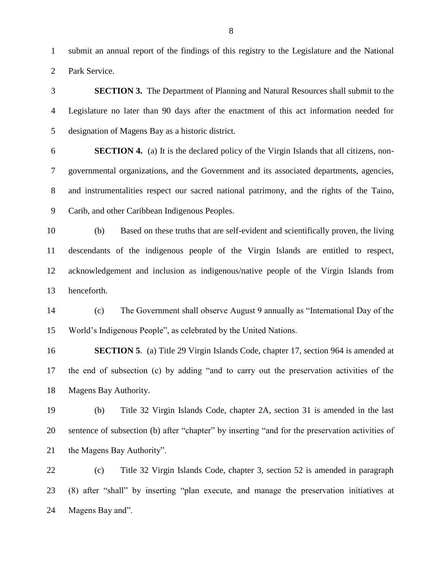submit an annual report of the findings of this registry to the Legislature and the National Park Service.

 **SECTION 3.** The Department of Planning and Natural Resources shall submit to the Legislature no later than 90 days after the enactment of this act information needed for designation of Magens Bay as a historic district. **SECTION 4.** (a) It is the declared policy of the Virgin Islands that all citizens, non- governmental organizations, and the Government and its associated departments, agencies, and instrumentalities respect our sacred national patrimony, and the rights of the Taino, Carib, and other Caribbean Indigenous Peoples. (b) Based on these truths that are self-evident and scientifically proven, the living descendants of the indigenous people of the Virgin Islands are entitled to respect, acknowledgement and inclusion as indigenous/native people of the Virgin Islands from henceforth. (c) The Government shall observe August 9 annually as "International Day of the World's Indigenous People", as celebrated by the United Nations. **SECTION 5**. (a) Title 29 Virgin Islands Code, chapter 17, section 964 is amended at the end of subsection (c) by adding "and to carry out the preservation activities of the Magens Bay Authority. (b) Title 32 Virgin Islands Code, chapter 2A, section 31 is amended in the last sentence of subsection (b) after "chapter" by inserting "and for the preservation activities of 21 the Magens Bay Authority". (c) Title 32 Virgin Islands Code, chapter 3, section 52 is amended in paragraph

 (8) after "shall" by inserting "plan execute, and manage the preservation initiatives at Magens Bay and".